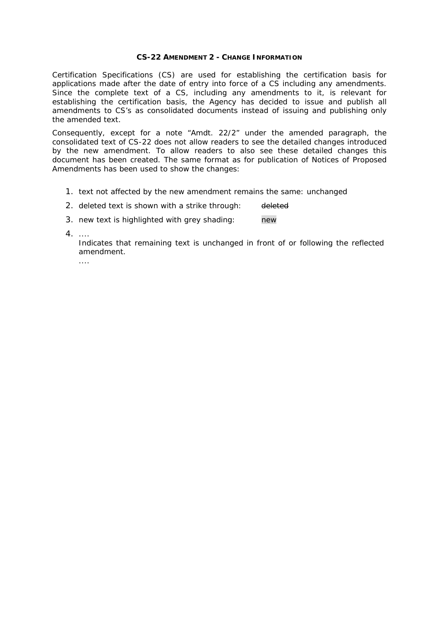#### **CS-22 AMENDMENT 2 - CHANGE INFORMATION**

Certification Specifications (CS) are used for establishing the certification basis for applications made after the date of entry into force of a CS including any amendments. Since the complete text of a CS, including any amendments to it, is relevant for establishing the certification basis, the Agency has decided to issue and publish all amendments to CS's as consolidated documents instead of issuing and publishing only the amended text.

Consequently, except for a note "Amdt. 22/2" under the amended paragraph, the consolidated text of CS-22 does not allow readers to see the detailed changes introduced by the new amendment. To allow readers to also see these detailed changes this document has been created. The same format as for publication of Notices of Proposed Amendments has been used to show the changes:

- 1. text not affected by the new amendment remains the same: unchanged
- 2. deleted text is shown with a strike through: deleted

3. new text is highlighted with grey shading: new

4. ....

Indicates that remaining text is unchanged in front of or following the reflected amendment.

....